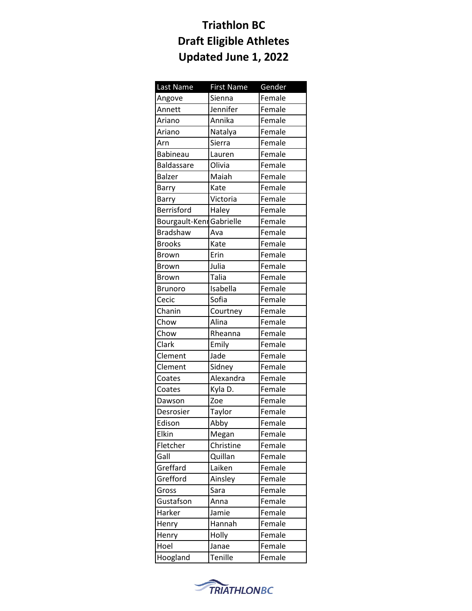| Last Name                | <b>First Name</b> | Gender |
|--------------------------|-------------------|--------|
| Angove                   | Sienna            | Female |
| Annett                   | Jennifer          | Female |
| Ariano                   | Annika            | Female |
| Ariano                   | Natalya           | Female |
| Arn                      | Sierra            | Female |
| <b>Babineau</b>          | Lauren            | Female |
| Baldassare               | Olivia            | Female |
| <b>Balzer</b>            | Maiah             | Female |
| Barry                    | Kate              | Female |
| Barry                    | Victoria          | Female |
| Berrisford               | Haley             | Female |
| Bourgault-Kenr Gabrielle |                   | Female |
| <b>Bradshaw</b>          | Ava               | Female |
| <b>Brooks</b>            | Kate              | Female |
| <b>Brown</b>             | Erin              | Female |
| <b>Brown</b>             | Julia             | Female |
| <b>Brown</b>             | <b>Talia</b>      | Female |
| <b>Brunoro</b>           | Isabella          | Female |
| Cecic                    | Sofia             | Female |
| Chanin                   | Courtney          | Female |
| Chow                     | Alina             | Female |
| Chow                     | Rheanna           | Female |
| Clark                    | Emily             | Female |
| Clement                  | Jade              | Female |
| Clement                  | Sidney            | Female |
| Coates                   | Alexandra         | Female |
| Coates                   | Kyla D.           | Female |
| Dawson                   | Zoe               | Female |
| Desrosier                | Taylor            | Female |
| Edison                   | _<br>Abby         | Female |
| Elkin                    | Megan             | Female |
| Fletcher                 | Christine         | Female |
| Gall                     | Quillan           | Female |
| Greffard                 | Laiken            | Female |
| Grefford                 | Ainsley           | Female |
| Gross                    | Sara              | Female |
| Gustafson                | Anna              | Female |
| Harker                   | Jamie             | Female |
| Henry                    | Hannah            | Female |
| Henry                    | Holly             | Female |
| Hoel                     | Janae             | Female |
| Hoogland                 | Tenille           | Female |

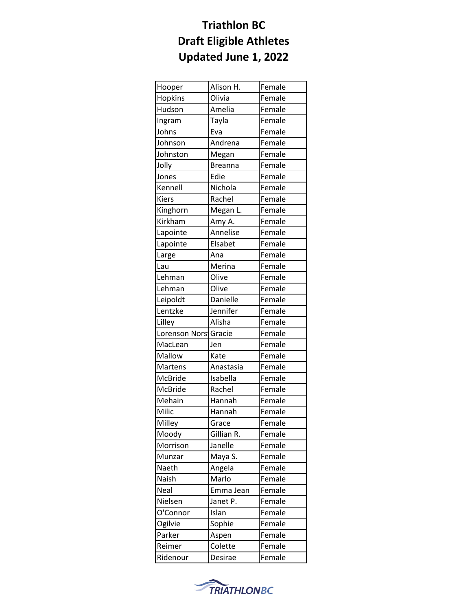| Hooper                | Alison H.      | Female |
|-----------------------|----------------|--------|
| Hopkins               | Olivia         | Female |
| Hudson                | Amelia         | Female |
| Ingram                | Tayla          | Female |
| Johns                 | Eva            | Female |
| Johnson               | Andrena        | Female |
| Johnston              | Megan          | Female |
| Jolly                 | <b>Breanna</b> | Female |
| Jones                 | Edie           | Female |
| Kennell               | Nichola        | Female |
| <b>Kiers</b>          | Rachel         | Female |
| Kinghorn              | Megan L.       | Female |
| Kirkham               | Amy A.         | Female |
| Lapointe              | Annelise       | Female |
| Lapointe              | Elsabet        | Female |
| Large                 | Ana            | Female |
| Lau                   | Merina         | Female |
| Lehman                | Olive          | Female |
| Lehman                | Olive          | Female |
| Leipoldt              | Danielle       | Female |
| Lentzke               | Jennifer       | Female |
| Lilley                | Alisha         | Female |
| Lorenson Norsi Gracie |                | Female |
| MacLean               | Jen            | Female |
| Mallow                | Kate           | Female |
| <b>Martens</b>        | Anastasia      | Female |
| McBride               | Isabella       | Female |
| McBride               | Rachel         | Female |
| Mehain                | Hannah         | Female |
| Milic                 | Hannah         | Female |
| Milley                | Grace          | Female |
| Moody                 | Gillian R.     | Female |
| Morrison              | Janelle        | Female |
| Munzar                | Maya S.        | Female |
| Naeth                 | Angela         | Female |
| Naish                 | Marlo          | Female |
| Neal                  | Emma Jean      | Female |
| Nielsen               | Janet P.       | Female |
| O'Connor              | Islan          | Female |
| Ogilvie               | Sophie         | Female |
| Parker                | Aspen          | Female |
| Reimer                | Colette        | Female |
| Ridenour              | Desirae        | Female |

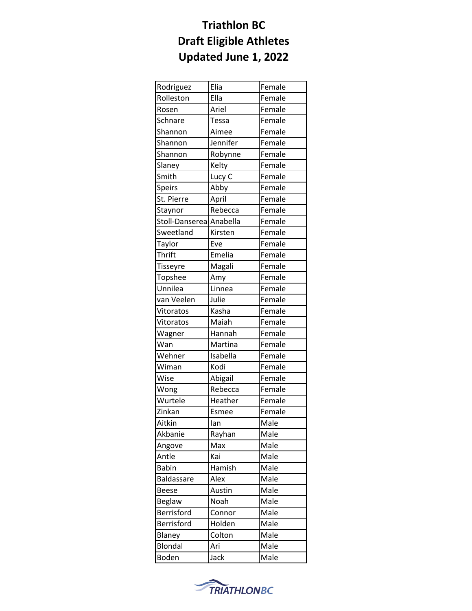| Rodriguez               | Elia     | Female |
|-------------------------|----------|--------|
| Rolleston               | Ella     | Female |
| Rosen                   | Ariel    | Female |
| Schnare                 | Tessa    | Female |
| Shannon                 | Aimee    | Female |
| Shannon                 | Jennifer | Female |
| Shannon                 | Robynne  | Female |
| Slaney                  | Kelty    | Female |
| Smith                   | Lucy C   | Female |
| <b>Speirs</b>           | Abby     | Female |
| St. Pierre              | April    | Female |
| Staynor                 | Rebecca  | Female |
| Stoll-Danserea Anabella |          | Female |
| Sweetland               | Kirsten  | Female |
| Taylor                  | Eve      | Female |
| Thrift                  | Emelia   | Female |
| <b>Tisseyre</b>         | Magali   | Female |
| Topshee                 | Amy      | Female |
| Unnilea                 | Linnea   | Female |
| van Veelen              | Julie    | Female |
| Vitoratos               | Kasha    | Female |
| Vitoratos               | Maiah    | Female |
| Wagner                  | Hannah   | Female |
| Wan                     | Martina  | Female |
| Wehner                  | Isabella | Female |
| Wiman                   | Kodi     | Female |
| Wise                    | Abigail  | Female |
| Wong                    | Rebecca  | Female |
| Wurtele                 | Heather  | Female |
| Zinkan                  | Esmee    | Female |
| Aitkin                  | lan      | Male   |
| Akbanie                 | Rayhan   | Male   |
| Angove                  | Max      | Male   |
| Antle                   | Kai      | Male   |
| <b>Babin</b>            | Hamish   | Male   |
| Baldassare              | Alex     | Male   |
| <b>Beese</b>            | Austin   | Male   |
| <b>Beglaw</b>           | Noah     | Male   |
| <b>Berrisford</b>       | Connor   | Male   |
| Berrisford              | Holden   | Male   |
| Blaney                  | Colton   | Male   |
| Blondal                 | Ari      | Male   |
| Boden                   | Jack     | Male   |
|                         |          |        |

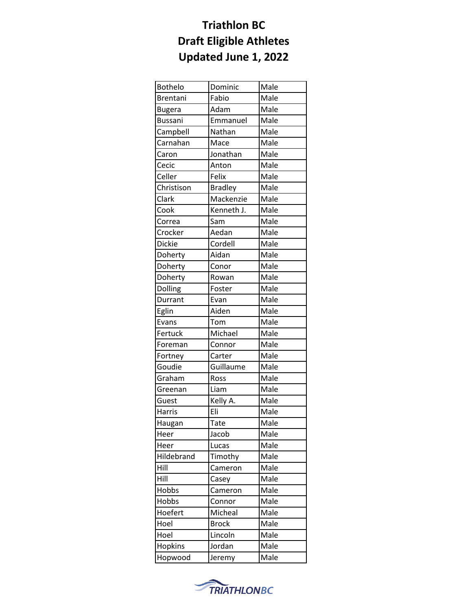| <b>Bothelo</b> | Dominic        | Male |
|----------------|----------------|------|
| Brentani       | Fabio          | Male |
| <b>Bugera</b>  | Adam           | Male |
| <b>Bussani</b> | Emmanuel       | Male |
| Campbell       | Nathan         | Male |
| Carnahan       | Mace           | Male |
| Caron          | Jonathan       | Male |
| Cecic          | Anton          | Male |
| Celler         | Felix          | Male |
| Christison     | <b>Bradley</b> | Male |
| Clark          | Mackenzie      | Male |
| Cook           | Kenneth J.     | Male |
| Correa         | Sam            | Male |
| Crocker        | Aedan          | Male |
| Dickie         | Cordell        | Male |
| Doherty        | Aidan          | Male |
| Doherty        | Conor          | Male |
| Doherty        | Rowan          | Male |
| Dolling        | Foster         | Male |
| Durrant        | Evan           | Male |
| Eglin          | Aiden          | Male |
| Evans          | Tom            | Male |
| Fertuck        | Michael        | Male |
| Foreman        | Connor         | Male |
| Fortney        | Carter         | Male |
| Goudie         | Guillaume      | Male |
| Graham         | Ross           | Male |
| Greenan        | Liam           | Male |
| Guest          | Kelly A.       | Male |
| Harris         | Eli            | Male |
| Haugan         | Tate           | Male |
| Heer           | Jacob          | Male |
| Heer           | Lucas          | Male |
| Hildebrand     | Timothy        | Male |
| Hill           | Cameron        | Male |
| Hill           | Casey          | Male |
| Hobbs          | Cameron        | Male |
| Hobbs          | Connor         | Male |
| Hoefert        | Micheal        | Male |
| Hoel           | <b>Brock</b>   | Male |
| Hoel           | Lincoln        | Male |
| Hopkins        | Jordan         | Male |
| Hopwood        | Jeremy         | Male |

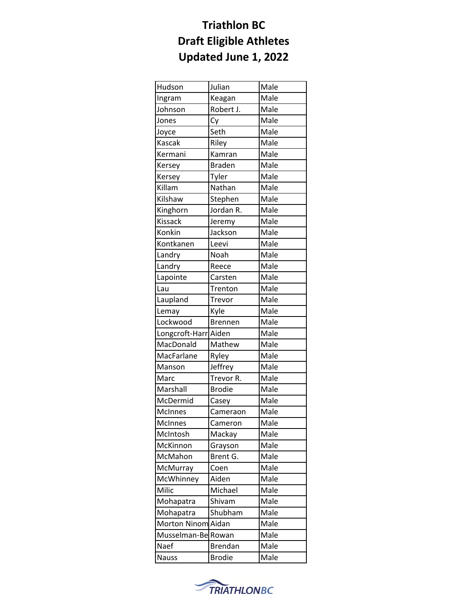| Hudson             | Julian         | Male |
|--------------------|----------------|------|
| Ingram             | Keagan         | Male |
| Johnson            | Robert J.      | Male |
| Jones              | Cy             | Male |
| Joyce              | Seth           | Male |
| <b>Kascak</b>      | Riley          | Male |
| Kermani            | Kamran         | Male |
| Kersey             | <b>Braden</b>  | Male |
| Kersey             | Tyler          | Male |
| Killam             | Nathan         | Male |
| Kilshaw            | Stephen        | Male |
| Kinghorn           | Jordan R.      | Male |
| <b>Kissack</b>     | Jeremy         | Male |
| Konkin             | Jackson        | Male |
| Kontkanen          | Leevi          | Male |
| Landry             | Noah           | Male |
| Landry             | Reece          | Male |
| Lapointe           | Carsten        | Male |
| Lau                | Trenton        | Male |
| Laupland           | Trevor         | Male |
| Lemay              | Kyle           | Male |
| Lockwood           | <b>Brennen</b> | Male |
| Longcroft-Harr     | Aiden          | Male |
| MacDonald          | Mathew         | Male |
| MacFarlane         | Ryley          | Male |
| Manson             | Jeffrey        | Male |
| Marc               | Trevor R.      | Male |
| Marshall           | <b>Brodie</b>  | Male |
| McDermid           | Casey          | Male |
| <b>McInnes</b>     | Cameraon       | Male |
| <b>McInnes</b>     | Cameron        | Male |
| McIntosh           | Mackay         | Male |
| McKinnon           | Grayson        | Male |
| McMahon            | Brent G.       | Male |
| McMurray           | Coen           | Male |
| McWhinney          | Aiden          | Male |
| Milic              | Michael        | Male |
| Mohapatra          | Shivam         | Male |
| Mohapatra          | Shubham        | Male |
| Morton Ninom Aidan |                | Male |
| Musselman-Be Rowan |                | Male |
| Naef               | <b>Brendan</b> | Male |
| <b>Nauss</b>       | <b>Brodie</b>  | Male |

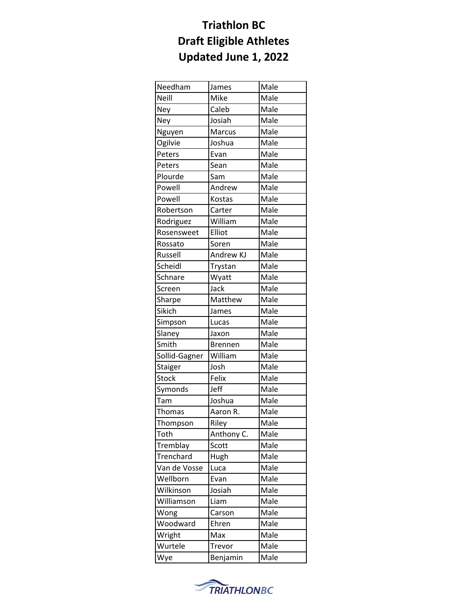| Needham       | James          | Male |
|---------------|----------------|------|
| Neill         | Mike           | Male |
| Ney           | Caleb          | Male |
| Ney           | Josiah         | Male |
| Nguyen        | Marcus         | Male |
| Ogilvie       | Joshua         | Male |
| Peters        | Evan           | Male |
| Peters        | Sean           | Male |
| Plourde       | Sam            | Male |
| Powell        | Andrew         | Male |
| Powell        | Kostas         | Male |
| Robertson     | Carter         | Male |
| Rodriguez     | William        | Male |
| Rosensweet    | Elliot         | Male |
| Rossato       | Soren          | Male |
| Russell       | Andrew KJ      | Male |
| Scheidl       | Trystan        | Male |
| Schnare       | Wyatt          | Male |
| Screen        | Jack           | Male |
| Sharpe        | Matthew        | Male |
| Sikich        | James          | Male |
| Simpson       | Lucas          | Male |
| Slaney        | Jaxon          | Male |
| Smith         | <b>Brennen</b> | Male |
| Sollid-Gagner | William        | Male |
| Staiger       | Josh           | Male |
| <b>Stock</b>  | Felix          | Male |
| Symonds       | Jeff           | Male |
| Tam           | Joshua         | Male |
| Thomas        | Aaron R.       | Male |
| Thompson      | Riley          | Male |
| Toth          | Anthony C.     | Male |
| Tremblay      | Scott          | Male |
| Trenchard     | Hugh           | Male |
| Van de Vosse  | Luca           | Male |
| Wellborn      | Evan           | Male |
| Wilkinson     | Josiah         | Male |
| Williamson    | Liam           | Male |
| Wong          | Carson         | Male |
| Woodward      | Ehren          | Male |
| Wright        | Max            | Male |
| Wurtele       | Trevor         | Male |
| Wye           | Benjamin       | Male |